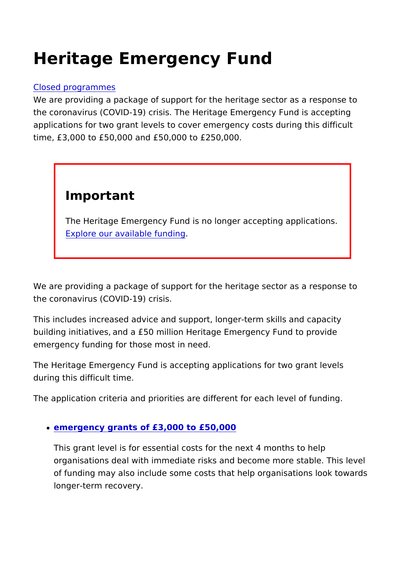## Heritage Emergency Fund

## [Closed progra](https://www.heritagefund.org.uk/funding/closed-programmes)mmes

We are providing a package of support for the heritage sector a the coronavirus (COVID-19) crisis. The Heritage Emergency Fun applications for two grant levels to cover emergency costs during time, £3,000 to £50,000 and £50,000 to £250,000.

## Important

The Heritage Emergency Fund is no longer accepting appli [Explore our available](https://www.heritagefund.org.uk/funding) funding

We are providing a package of support for the heritage sector a the coronavirus (COVID-19) crisis.

This includes increased advice and support, longer-term skills building initiatives,/and a £50 million Heritage Emergency Fund emergency funding for those most in need.

The Heritage Emergency Fund is accepting applications for two during this difficult time.

The application criteria and priorities are different for each lev

[emergency grants of £3,000 to](https://www.heritagefund.org.uk/node/110612/) £50,000

This grant level is for essential costs for the next 4 months organisations deal with immediate risks and become more st of funding may also include some costs that help organisations longer-term recovery.